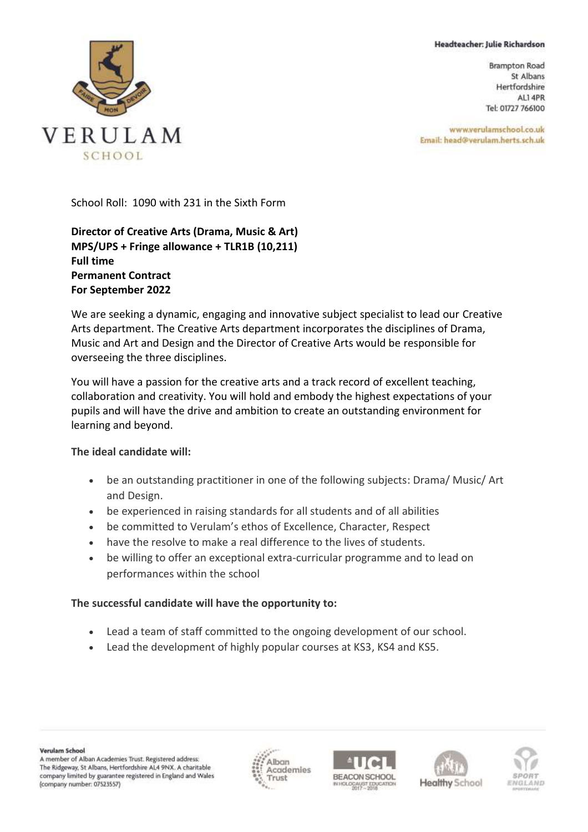## Headteacher: Julie Richardson

**Brampton Road** St Albans Hertfordshire ALI 4PR Tel: 01727 766100

www.verulamschool.co.uk Email: head@verulam.herts.sch.uk



School Roll: 1090 with 231 in the Sixth Form

**Director of Creative Arts (Drama, Music & Art) MPS/UPS + Fringe allowance + TLR1B (10,211) Full time Permanent Contract For September 2022**

We are seeking a dynamic, engaging and innovative subject specialist to lead our Creative Arts department. The Creative Arts department incorporates the disciplines of Drama, Music and Art and Design and the Director of Creative Arts would be responsible for overseeing the three disciplines.

You will have a passion for the creative arts and a track record of excellent teaching, collaboration and creativity. You will hold and embody the highest expectations of your pupils and will have the drive and ambition to create an outstanding environment for learning and beyond.

## **The ideal candidate will:**

- be an outstanding practitioner in one of the following subjects: Drama/ Music/ Art and Design.
- be experienced in raising standards for all students and of all abilities
- be committed to Verulam's ethos of Excellence, Character, Respect
- have the resolve to make a real difference to the lives of students.
- be willing to offer an exceptional extra-curricular programme and to lead on performances within the school

## **The successful candidate will have the opportunity to:**

- Lead a team of staff committed to the ongoing development of our school.
- Lead the development of highly popular courses at KS3, KS4 and KS5.







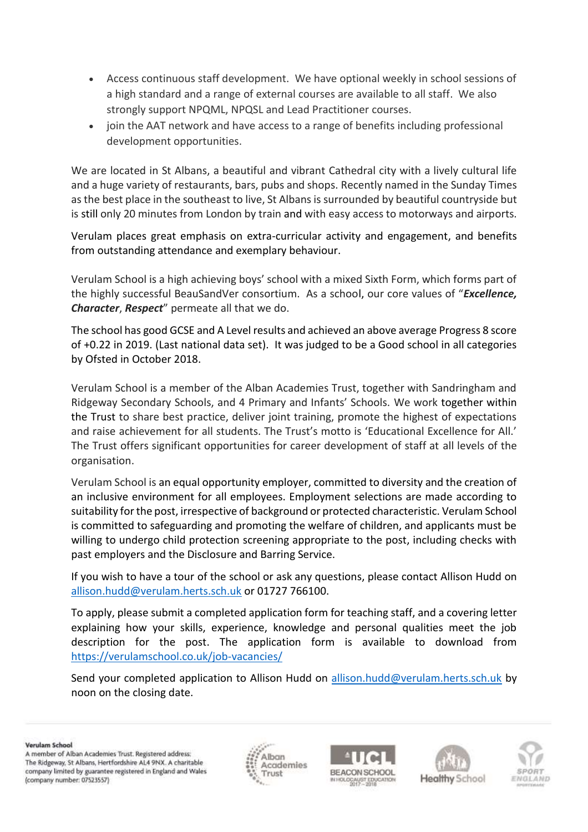- Access continuous staff development. We have optional weekly in school sessions of a high standard and a range of external courses are available to all staff. We also strongly support NPQML, NPQSL and Lead Practitioner courses.
- join the AAT network and have access to a range of benefits including professional development opportunities.

We are located in St Albans, a beautiful and vibrant Cathedral city with a lively cultural life and a huge variety of restaurants, bars, pubs and shops. Recently named in the Sunday Times as the best place in the southeast to live, St Albans is surrounded by beautiful countryside but is still only 20 minutes from London by train and with easy access to motorways and airports.

Verulam places great emphasis on extra-curricular activity and engagement, and benefits from outstanding attendance and exemplary behaviour.

Verulam School is a high achieving boys' school with a mixed Sixth Form, which forms part of the highly successful BeauSandVer consortium. As a school, our core values of "*Excellence, Character*, *Respect*" permeate all that we do.

The school has good GCSE and A Level results and achieved an above average Progress 8 score of +0.22 in 2019. (Last national data set). It was judged to be a Good school in all categories by Ofsted in October 2018.

Verulam School is a member of the Alban Academies Trust, together with Sandringham and Ridgeway Secondary Schools, and 4 Primary and Infants' Schools. We work together within the Trust to share best practice, deliver joint training, promote the highest of expectations and raise achievement for all students. The Trust's motto is 'Educational Excellence for All.' The Trust offers significant opportunities for career development of staff at all levels of the organisation.

Verulam School is an equal opportunity employer, committed to diversity and the creation of an inclusive environment for all employees. Employment selections are made according to suitability for the post, irrespective of background or protected characteristic. Verulam School is committed to safeguarding and promoting the welfare of children, and applicants must be willing to undergo child protection screening appropriate to the post, including checks with past employers and the Disclosure and Barring Service.

If you wish to have a tour of the school or ask any questions, please contact Allison Hudd on [allison.hudd@verulam.herts.sch.uk](mailto:allison.hudd@verulam.herts.sch.uk) or 01727 766100.

To apply, please submit a completed application form for teaching staff, and a covering letter explaining how your skills, experience, knowledge and personal qualities meet the job description for the post. The application form is available to download from <https://verulamschool.co.uk/job-vacancies/>

Send your completed application to Allison Hudd on [allison.hudd@verulam.herts.sch.uk](mailto:allison.hudd@verulam.herts.sch.uk) by noon on the closing date.

Verulam School

A member of Alban Academies Trust. Registered address: The Ridgeway, St Albans, Hertfordshire AL4 9NX. A charitable company limited by guarantee registered in England and Wales (company number: 07523557)